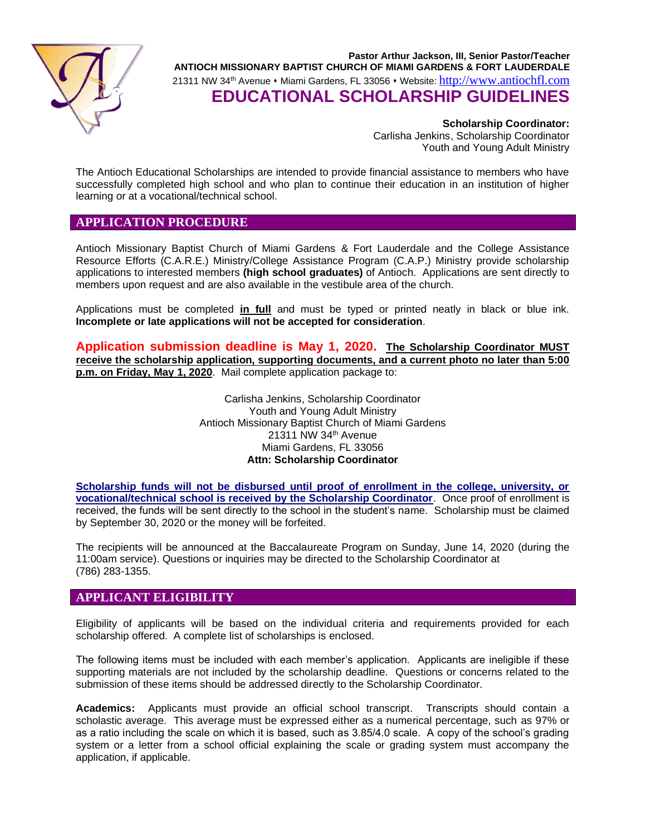

**Pastor Arthur Jackson, III, Senior Pastor/Teacher ANTIOCH MISSIONARY BAPTIST CHURCH OF MIAMI GARDENS & FORT LAUDERDALE** 21311 NW 34th Avenue ⬧ Miami Gardens, FL 33056 ⬧ Website: [http://www.antiochfl.com](http://www.antiochfl.com/) **EDUCATIONAL SCHOLARSHIP GUIDELINES**

> **Scholarship Coordinator:** Carlisha Jenkins, Scholarship Coordinator Youth and Young Adult Ministry

The Antioch Educational Scholarships are intended to provide financial assistance to members who have successfully completed high school and who plan to continue their education in an institution of higher learning or at a vocational/technical school.

#### **APPLICATION PROCEDURE**

Antioch Missionary Baptist Church of Miami Gardens & Fort Lauderdale and the College Assistance Resource Efforts (C.A.R.E.) Ministry/College Assistance Program (C.A.P.) Ministry provide scholarship applications to interested members **(high school graduates)** of Antioch. Applications are sent directly to members upon request and are also available in the vestibule area of the church.

Applications must be completed **in full** and must be typed or printed neatly in black or blue ink. **Incomplete or late applications will not be accepted for consideration**.

**Application submission deadline is May 1, 2020. The Scholarship Coordinator MUST receive the scholarship application, supporting documents, and a current photo no later than 5:00 p.m. on Friday, May 1, 2020**. Mail complete application package to:

> Carlisha Jenkins, Scholarship Coordinator Youth and Young Adult Ministry Antioch Missionary Baptist Church of Miami Gardens 21311 NW 34th Avenue Miami Gardens, FL 33056 **Attn: Scholarship Coordinator**

**Scholarship funds will not be disbursed until proof of enrollment in the college, university, or vocational/technical school is received by the Scholarship Coordinator**. Once proof of enrollment is received, the funds will be sent directly to the school in the student's name. Scholarship must be claimed by September 30, 2020 or the money will be forfeited.

The recipients will be announced at the Baccalaureate Program on Sunday, June 14, 2020 (during the 11:00am service). Questions or inquiries may be directed to the Scholarship Coordinator at (786) 283-1355.

#### **APPLICANT ELIGIBILITY**

Eligibility of applicants will be based on the individual criteria and requirements provided for each scholarship offered. A complete list of scholarships is enclosed.

The following items must be included with each member's application. Applicants are ineligible if these supporting materials are not included by the scholarship deadline. Questions or concerns related to the submission of these items should be addressed directly to the Scholarship Coordinator.

**Academics:** Applicants must provide an official school transcript. Transcripts should contain a scholastic average. This average must be expressed either as a numerical percentage, such as 97% or as a ratio including the scale on which it is based, such as 3.85/4.0 scale. A copy of the school's grading system or a letter from a school official explaining the scale or grading system must accompany the application, if applicable.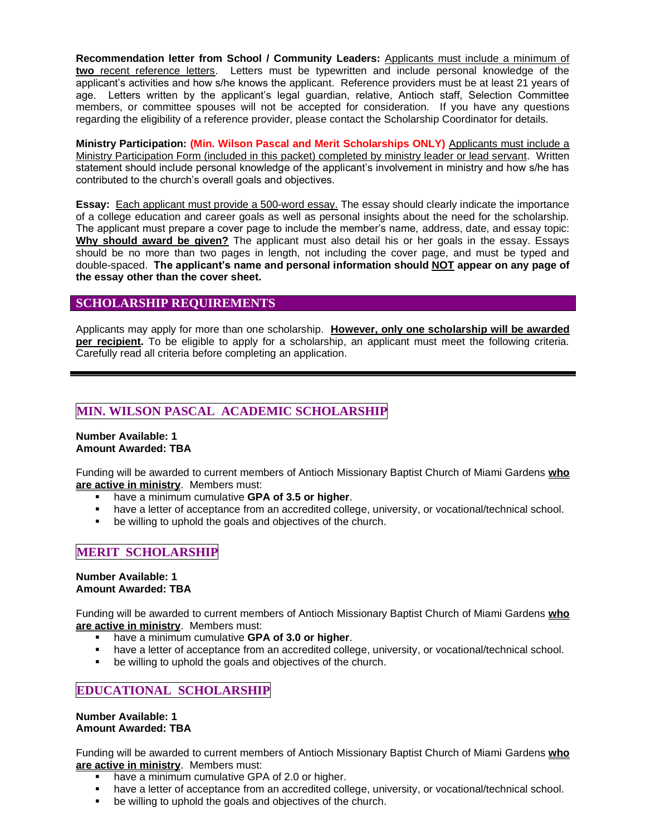**Recommendation letter from School / Community Leaders:** Applicants must include a minimum of **two** recent reference letters. Letters must be typewritten and include personal knowledge of the applicant's activities and how s/he knows the applicant. Reference providers must be at least 21 years of age. Letters written by the applicant's legal guardian, relative, Antioch staff, Selection Committee members, or committee spouses will not be accepted for consideration. If you have any questions regarding the eligibility of a reference provider, please contact the Scholarship Coordinator for details.

**Ministry Participation: (Min. Wilson Pascal and Merit Scholarships ONLY)** Applicants must include a Ministry Participation Form (included in this packet) completed by ministry leader or lead servant. Written statement should include personal knowledge of the applicant's involvement in ministry and how s/he has contributed to the church's overall goals and objectives.

**Essay:** Each applicant must provide a 500-word essay. The essay should clearly indicate the importance of a college education and career goals as well as personal insights about the need for the scholarship. The applicant must prepare a cover page to include the member's name, address, date, and essay topic: **Why should award be given?** The applicant must also detail his or her goals in the essay. Essays should be no more than two pages in length, not including the cover page, and must be typed and double-spaced. **The applicant's name and personal information should NOT appear on any page of the essay other than the cover sheet.**

#### **SCHOLARSHIP REQUIREMENTS**

Applicants may apply for more than one scholarship. **However, only one scholarship will be awarded per recipient.** To be eligible to apply for a scholarship, an applicant must meet the following criteria. Carefully read all criteria before completing an application.

# **MIN. WILSON PASCAL ACADEMIC SCHOLARSHIP**

#### **Number Available: 1 Amount Awarded: TBA**

Funding will be awarded to current members of Antioch Missionary Baptist Church of Miami Gardens **who are active in ministry**. Members must:

- have a minimum cumulative **GPA of 3.5 or higher**.
- **EXECT** have a letter of acceptance from an accredited college, university, or vocational/technical school.
- be willing to uphold the goals and objectives of the church.

## **MERIT SCHOLARSHIP**

#### **Number Available: 1 Amount Awarded: TBA**

Funding will be awarded to current members of Antioch Missionary Baptist Church of Miami Gardens **who are active in ministry**. Members must:

- have a minimum cumulative **GPA of 3.0 or higher**.
- have a letter of acceptance from an accredited college, university, or vocational/technical school.
- be willing to uphold the goals and objectives of the church.

## **EDUCATIONAL SCHOLARSHIP**

#### **Number Available: 1 Amount Awarded: TBA**

Funding will be awarded to current members of Antioch Missionary Baptist Church of Miami Gardens **who are active in ministry**. Members must:

- have a minimum cumulative GPA of 2.0 or higher.
- **■** have a letter of acceptance from an accredited college, university, or vocational/technical school.
- be willing to uphold the goals and objectives of the church.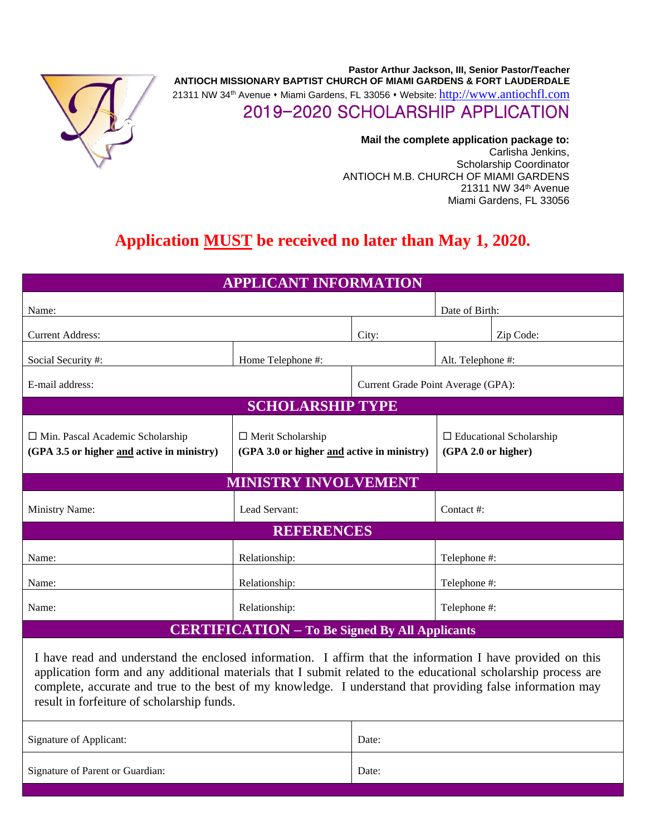

**Pastor Arthur Jackson, III, Senior Pastor/Teacher ANTIOCH MISSIONARY BAPTIST CHURCH OF MIAMI GARDENS & FORT LAUDERDALE** 21311 NW 34th Avenue ⬧ Miami Gardens, FL 33056 ⬧ Website: [http://www.antiochfl.com](http://www.antiochfl.com/) 2019-2020 SCHOLARSHIP APPLICATION

> **Mail the complete application package to:** Carlisha Jenkins, Scholarship Coordinator ANTIOCH M.B. CHURCH OF MIAMI GARDENS 21311 NW 34th Avenue Miami Gardens, FL 33056

# **Application MUST be received no later than May 1, 2020.**

| <b>APPLICANT INFORMATION</b>                                                          |                                                                        |       |                                    |                                |  |  |
|---------------------------------------------------------------------------------------|------------------------------------------------------------------------|-------|------------------------------------|--------------------------------|--|--|
| Name:                                                                                 |                                                                        |       | Date of Birth:                     |                                |  |  |
| <b>Current Address:</b>                                                               |                                                                        | City: |                                    | Zip Code:                      |  |  |
| Social Security #:                                                                    | Home Telephone #:                                                      |       | Alt. Telephone #:                  |                                |  |  |
| E-mail address:                                                                       |                                                                        |       | Current Grade Point Average (GPA): |                                |  |  |
| <b>SCHOLARSHIP TYPE</b>                                                               |                                                                        |       |                                    |                                |  |  |
| $\Box$ Min. Pascal Academic Scholarship<br>(GPA 3.5 or higher and active in ministry) | $\Box$ Merit Scholarship<br>(GPA 3.0 or higher and active in ministry) |       | (GPA 2.0 or higher)                | $\Box$ Educational Scholarship |  |  |
| <b>MINISTRY INVOLVEMENT</b>                                                           |                                                                        |       |                                    |                                |  |  |
| <b>Ministry Name:</b>                                                                 | Lead Servant:                                                          |       | Contact#:                          |                                |  |  |
| <b>REFERENCES</b>                                                                     |                                                                        |       |                                    |                                |  |  |
| Name:                                                                                 | Relationship:                                                          |       | Telephone #:                       |                                |  |  |
| Name:                                                                                 | Relationship:                                                          |       | Telephone #:                       |                                |  |  |
| Name:                                                                                 | Relationship:                                                          |       | Telephone #:                       |                                |  |  |
| <b>CERTIFICATION - To Be Signed By All Applicants</b>                                 |                                                                        |       |                                    |                                |  |  |

I have read and understand the enclosed information. I affirm that the information I have provided on this application form and any additional materials that I submit related to the educational scholarship process are complete, accurate and true to the best of my knowledge. I understand that providing false information may result in forfeiture of scholarship funds.

| Signature of Applicant:          | Date: |
|----------------------------------|-------|
| Signature of Parent or Guardian: | Date: |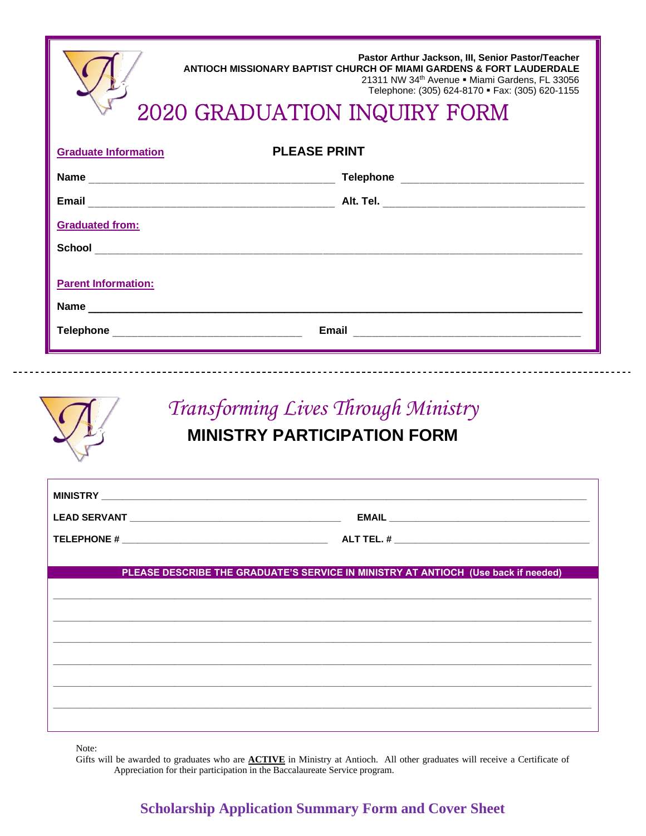| Pastor Arthur Jackson, III, Senior Pastor/Teacher<br>ANTIOCH MISSIONARY BAPTIST CHURCH OF MIAMI GARDENS & FORT LAUDERDALE<br>21311 NW 34th Avenue . Miami Gardens, FL 33056<br>Telephone: (305) 624-8170 · Fax: (305) 620-1155<br>Telephone: (305) 624-8170 • Fax:<br>2020 GRADUATION INQUIRY FORM |  |  |  |  |  |
|----------------------------------------------------------------------------------------------------------------------------------------------------------------------------------------------------------------------------------------------------------------------------------------------------|--|--|--|--|--|
| <b>PLEASE PRINT</b><br><b>Graduate Information</b>                                                                                                                                                                                                                                                 |  |  |  |  |  |
|                                                                                                                                                                                                                                                                                                    |  |  |  |  |  |
| <b>Email</b>                                                                                                                                                                                                                                                                                       |  |  |  |  |  |
| <b>Graduated from:</b>                                                                                                                                                                                                                                                                             |  |  |  |  |  |
|                                                                                                                                                                                                                                                                                                    |  |  |  |  |  |
| <b>Parent Information:</b><br>Name                                                                                                                                                                                                                                                                 |  |  |  |  |  |
| <b>Telephone</b><br>Email                                                                                                                                                                                                                                                                          |  |  |  |  |  |



# *Transforming Lives Through Ministry* **MINISTRY PARTICIPATION FORM**

| PLEASE DESCRIBE THE GRADUATE'S SERVICE IN MINISTRY AT ANTIOCH (Use back if needed) |  |
|------------------------------------------------------------------------------------|--|
|                                                                                    |  |
|                                                                                    |  |
|                                                                                    |  |
|                                                                                    |  |
|                                                                                    |  |
|                                                                                    |  |
|                                                                                    |  |

Note:

Gifts will be awarded to graduates who are **ACTIVE** in Ministry at Antioch. All other graduates will receive a Certificate of Appreciation for their participation in the Baccalaureate Service program.

# **Scholarship Application Summary Form and Cover Sheet**